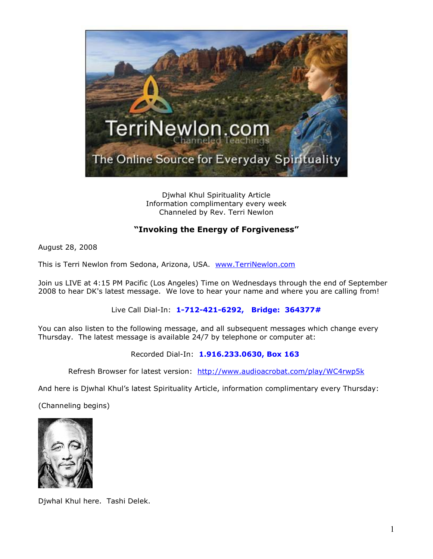

Djwhal Khul Spirituality Article Information complimentary every week Channeled by Rev. Terri Newlon

## **"Invoking the Energy of Forgiveness"**

August 28, 2008

This is Terri Newlon from Sedona, Arizona, USA. [www.TerriNewlon.com](http://www.terrinewlon.com/)

Join us LIVE at 4:15 PM Pacific (Los Angeles) Time on Wednesdays through the end of September 2008 to hear DK's latest message. We love to hear your name and where you are calling from!

Live Call Dial-In: **1-712-421-6292, Bridge: 364377#**

You can also listen to the following message, and all subsequent messages which change every Thursday. The latest message is available 24/7 by telephone or computer at:

Recorded Dial-In: **1.916.233.0630, Box 163**

Refresh Browser for latest version: <http://www.audioacrobat.com/play/WC4rwp5k>

And here is Djwhal Khul's latest Spirituality Article, information complimentary every Thursday:

(Channeling begins)



Djwhal Khul here. Tashi Delek.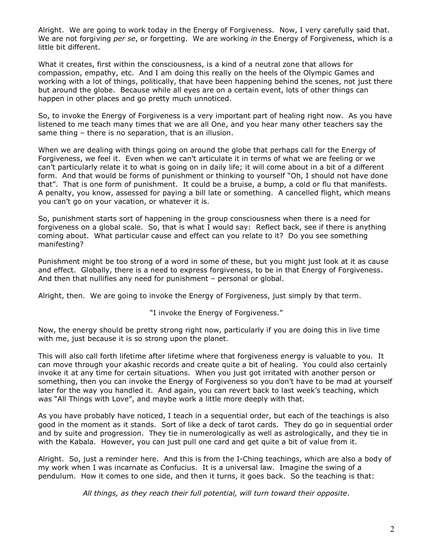Alright. We are going to work today in the Energy of Forgiveness. Now, I very carefully said that. We are not forgiving *per se*, or forgetting. We are working *in* the Energy of Forgiveness, which is a little bit different.

What it creates, first within the consciousness, is a kind of a neutral zone that allows for compassion, empathy, etc. And I am doing this really on the heels of the Olympic Games and working with a lot of things, politically, that have been happening behind the scenes, not just there but around the globe. Because while all eyes are on a certain event, lots of other things can happen in other places and go pretty much unnoticed.

So, to invoke the Energy of Forgiveness is a very important part of healing right now. As you have listened to me teach many times that we are all One, and you hear many other teachers say the same thing – there is no separation, that is an illusion.

When we are dealing with things going on around the globe that perhaps call for the Energy of Forgiveness, we feel it. Even when we can't articulate it in terms of what we are feeling or we can't particularly relate it to what is going on in daily life; it will come about in a bit of a different form. And that would be forms of punishment or thinking to yourself "Oh, I should not have done that". That is one form of punishment. It could be a bruise, a bump, a cold or flu that manifests. A penalty, you know, assessed for paying a bill late or something. A cancelled flight, which means you can't go on your vacation, or whatever it is.

So, punishment starts sort of happening in the group consciousness when there is a need for forgiveness on a global scale. So, that is what I would say: Reflect back, see if there is anything coming about. What particular cause and effect can you relate to it? Do you see something manifesting?

Punishment might be too strong of a word in some of these, but you might just look at it as cause and effect. Globally, there is a need to express forgiveness, to be in that Energy of Forgiveness. And then that nullifies any need for punishment – personal or global.

Alright, then. We are going to invoke the Energy of Forgiveness, just simply by that term.

"I invoke the Energy of Forgiveness."

Now, the energy should be pretty strong right now, particularly if you are doing this in live time with me, just because it is so strong upon the planet.

This will also call forth lifetime after lifetime where that forgiveness energy is valuable to you. It can move through your akashic records and create quite a bit of healing. You could also certainly invoke it at any time for certain situations. When you just got irritated with another person or something, then you can invoke the Energy of Forgiveness so you don't have to be mad at yourself later for the way you handled it. And again, you can revert back to last week's teaching, which was "All Things with Love", and maybe work a little more deeply with that.

As you have probably have noticed, I teach in a sequential order, but each of the teachings is also good in the moment as it stands. Sort of like a deck of tarot cards. They do go in sequential order and by suite and progression. They tie in numerologically as well as astrologically, and they tie in with the Kabala. However, you can just pull one card and get quite a bit of value from it.

Alright. So, just a reminder here. And this is from the I-Ching teachings, which are also a body of my work when I was incarnate as Confucius. It is a universal law. Imagine the swing of a pendulum. How it comes to one side, and then it turns, it goes back. So the teaching is that:

*All things, as they reach their full potential, will turn toward their opposite*.